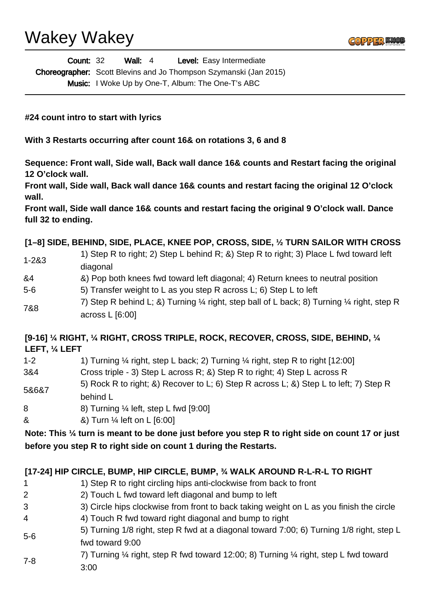| <b>Count: 32</b> | Wall: $4$ | <b>Level:</b> Easy Intermediate                                          |  |
|------------------|-----------|--------------------------------------------------------------------------|--|
|                  |           | <b>Choreographer:</b> Scott Blevins and Jo Thompson Szymanski (Jan 2015) |  |
|                  |           | <b>Music:</b> I Woke Up by One-T, Album: The One-T's ABC                 |  |

**#24 count intro to start with lyrics**

**With 3 Restarts occurring after count 16& on rotations 3, 6 and 8**

**Sequence: Front wall, Side wall, Back wall dance 16& counts and Restart facing the original 12 O'clock wall.**

**Front wall, Side wall, Back wall dance 16& counts and restart facing the original 12 O'clock wall.**

**Front wall, Side wall dance 16& counts and restart facing the original 9 O'clock wall. Dance full 32 to ending.**

### **[1–8] SIDE, BEHIND, SIDE, PLACE, KNEE POP, CROSS, SIDE, ½ TURN SAILOR WITH CROSS**

- 1-2&3 1) Step R to right; 2) Step L behind R; &) Step R to right; 3) Place L fwd toward left diagonal
- &4 &) Pop both knees fwd toward left diagonal; 4) Return knees to neutral position
- 5-6 5) Transfer weight to L as you step R across L; 6) Step L to left
- 7&8 7) Step R behind L; &) Turning  $\frac{1}{4}$  right, step ball of L back; 8) Turning  $\frac{1}{4}$  right, step R across L [6:00]

### **[9-16] ¼ RIGHT, ¼ RIGHT, CROSS TRIPLE, ROCK, RECOVER, CROSS, SIDE, BEHIND, ¼ LEFT, ¼ LEFT**

- 1-2 1) Turning  $\frac{1}{4}$  right, step L back; 2) Turning  $\frac{1}{4}$  right, step R to right [12:00]
- 3&4 Cross triple 3) Step L across R; &) Step R to right; 4) Step L across R
- 5&6&7 5) Rock R to right; &) Recover to L; 6) Step R across L; &) Step L to left; 7) Step R behind L
- 8 8) Turning ¼ left, step L fwd [9:00]
- & &) Turn ¼ left on L [6:00]

**Note: This ¼ turn is meant to be done just before you step R to right side on count 17 or just before you step R to right side on count 1 during the Restarts.**

### **[17-24] HIP CIRCLE, BUMP, HIP CIRCLE, BUMP, ¾ WALK AROUND R-L-R-L TO RIGHT**

- 1 1 1) Step R to right circling hips anti-clockwise from back to front
- 2 2) Touch L fwd toward left diagonal and bump to left
- 3 3) Circle hips clockwise from front to back taking weight on L as you finish the circle
- 4 4) Touch R fwd toward right diagonal and bump to right
- 5-6 5) Turning 1/8 right, step R fwd at a diagonal toward 7:00; 6) Turning 1/8 right, step L fwd toward 9:00
- 7-8 7) Turning ¼ right, step R fwd toward 12:00; 8) Turning ¼ right, step L fwd toward 3:00